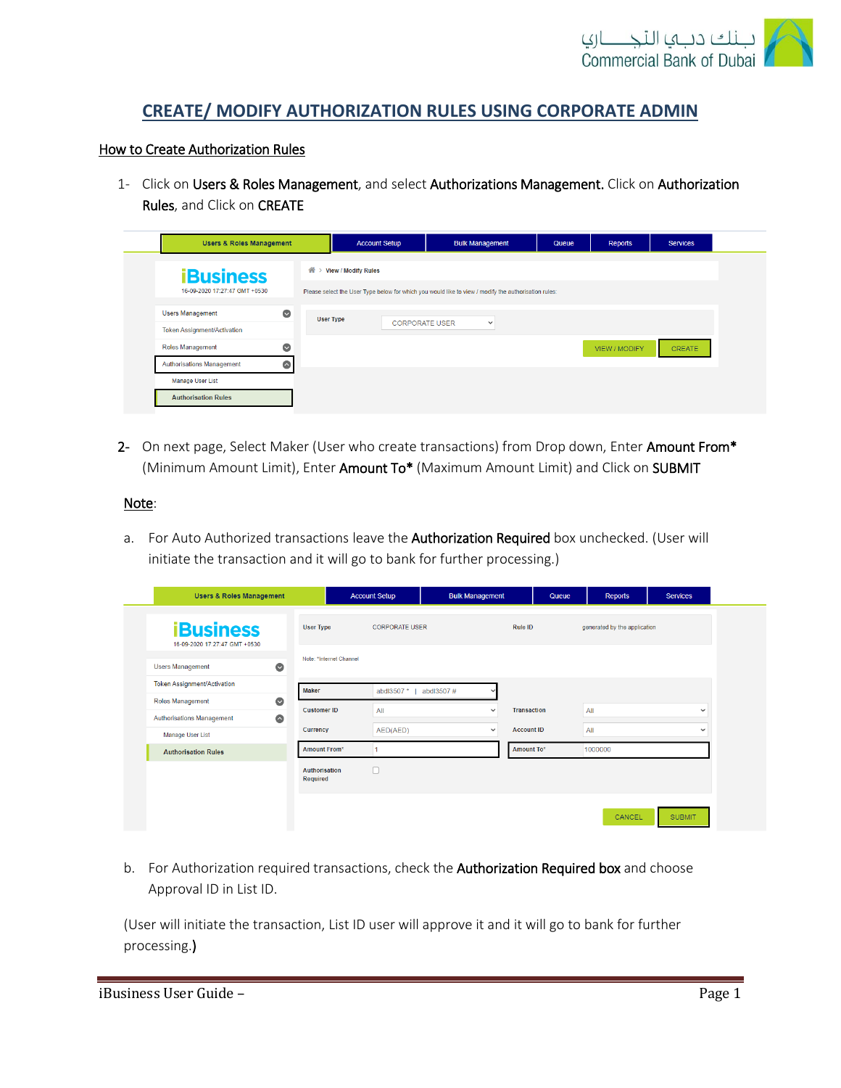

# **CREATE/ MODIFY AUTHORIZATION RULES USING CORPORATE ADMIN**

#### How to Create Authorization Rules

1- Click on Users & Roles Management, and select Authorizations Management. Click on Authorization Rules, and Click on CREATE

| <b>Users &amp; Roles Management</b> |           | <b>Account Setup</b>                                                                                 | <b>Bulk Management</b> | Queue | Reports       | <b>Services</b> |  |  |
|-------------------------------------|-----------|------------------------------------------------------------------------------------------------------|------------------------|-------|---------------|-----------------|--|--|
| <b>iBusiness</b>                    | 合>        | <b>View / Modify Rules</b>                                                                           |                        |       |               |                 |  |  |
| 16-09-2020 17:27:47 GMT +0530       |           | Please select the User Type below for which you would like to view / modify the authorisation rules: |                        |       |               |                 |  |  |
| <b>Users Management</b>             | $\bullet$ | <b>User Type</b>                                                                                     |                        |       |               |                 |  |  |
| <b>Token Assignment/Activation</b>  |           | <b>CORPORATE USER</b>                                                                                | $\checkmark$           |       |               |                 |  |  |
| <b>Roles Management</b>             | $\bullet$ |                                                                                                      |                        |       | VIEW / MODIFY | <b>CREATE</b>   |  |  |
| <b>Authorisations Management</b>    | $\bullet$ |                                                                                                      |                        |       |               |                 |  |  |
| <b>Manage User List</b>             |           |                                                                                                      |                        |       |               |                 |  |  |
| <b>Authorisation Rules</b>          |           |                                                                                                      |                        |       |               |                 |  |  |

2- On next page, Select Maker (User who create transactions) from Drop down, Enter Amount From\* (Minimum Amount Limit), Enter Amount To\* (Maximum Amount Limit) and Click on SUBMIT

#### Note:

a. For Auto Authorized transactions leave the Authorization Required box unchecked. (User will initiate the transaction and it will go to bank for further processing.)

| <b>Users &amp; Roles Management</b>                                      |                           | <b>Account Setup</b>  | <b>Bulk Management</b> | Queue              | Reports                      | <b>Services</b> |
|--------------------------------------------------------------------------|---------------------------|-----------------------|------------------------|--------------------|------------------------------|-----------------|
| <b>iBusiness</b><br>16-09-2020 17:27:47 GMT +0530                        | <b>User Type</b>          | <b>CORPORATE USER</b> |                        | Rule ID            | generated by the application |                 |
| $\bullet$<br><b>Users Management</b>                                     | Note: *Internet Channel   |                       |                        |                    |                              |                 |
| Token Assignment/Activation                                              | Maker                     | abdl3507 *            | abdl3507#              |                    |                              |                 |
| $\bullet$<br><b>Roles Management</b>                                     | <b>Customer ID</b>        | All                   | $\checkmark$           | <b>Transaction</b> | All                          | $\checkmark$    |
| $\bullet$<br><b>Authorisations Management</b><br><b>Manage User List</b> | Currency                  | AED(AED)              | $\checkmark$           | <b>Account ID</b>  | All                          | $\checkmark$    |
| <b>Authorisation Rules</b>                                               | <b>Amount From*</b>       |                       |                        | Amount To*         | 1000000                      |                 |
|                                                                          | Authorisation<br>Required | $\Box$                |                        |                    |                              |                 |
|                                                                          |                           |                       |                        |                    | CANCEL                       | <b>SUBMIT</b>   |

b. For Authorization required transactions, check the Authorization Required box and choose Approval ID in List ID.

(User will initiate the transaction, List ID user will approve it and it will go to bank for further processing.)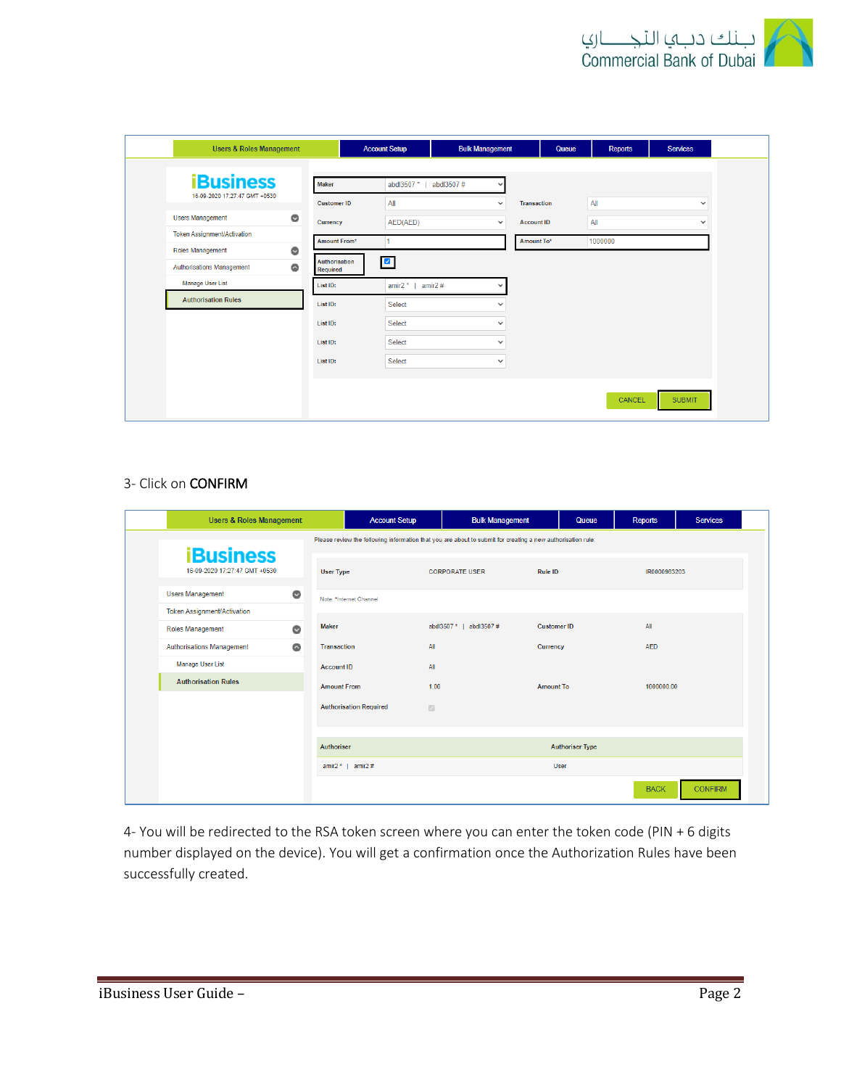

| <b>Users &amp; Roles Management</b>    |                    | <b>Account Setup</b>   | <b>Bulk Management</b>   | Queue              | <b>Reports</b> | <b>Services</b> |
|----------------------------------------|--------------------|------------------------|--------------------------|--------------------|----------------|-----------------|
| <b>iBusiness</b>                       | Maker              | abdl3507 *             | abdl3507#<br>$\check{ }$ |                    |                |                 |
| 16-09-2020 17:27:47 GMT +0530          | <b>Customer ID</b> | All                    | $\checkmark$             | <b>Transaction</b> | All            | $\checkmark$    |
| $\bullet$<br><b>Users Management</b>   | Currency           | AED(AED)               | $\checkmark$             | <b>Account ID</b>  | All            | $\checkmark$    |
| <b>Token Assignment/Activation</b>     | Amount From*       |                        |                          | Amount To*         | 1000000        |                 |
| $\bullet$<br><b>Roles Management</b>   | Authorisation      | $\blacksquare$         |                          |                    |                |                 |
| $\bullet$<br>Authorisations Management | Required           |                        |                          |                    |                |                 |
| Manage User List                       | List ID:           | amir $2^*$  <br>amir2# | $\checkmark$             |                    |                |                 |
| <b>Authorisation Rules</b>             | List ID:           | <b>Select</b>          | $\checkmark$             |                    |                |                 |
|                                        | List ID:           | Select                 | $\checkmark$             |                    |                |                 |
|                                        | List ID:           | Select                 | $\checkmark$             |                    |                |                 |
|                                        | List ID:           | Select                 | $\checkmark$             |                    |                |                 |
|                                        |                    |                        |                          |                    |                |                 |
|                                        |                    |                        |                          |                    | CANCEL         | <b>SUBMIT</b>   |
|                                        |                    |                        |                          |                    |                |                 |

### 3- Click on CONFIRM

| <b>Users &amp; Roles Management</b>               |                                 | <b>Account Setup</b>          | <b>Bulk Management</b>                                                                                      | Queue                  | <b>Reports</b> | <b>Services</b> |
|---------------------------------------------------|---------------------------------|-------------------------------|-------------------------------------------------------------------------------------------------------------|------------------------|----------------|-----------------|
|                                                   |                                 |                               | Please review the following information that you are about to submit for creating a new authorisation rule: |                        |                |                 |
| <b>iBusiness</b><br>16-09-2020 17:27:47 GMT +0530 | <b>User Type</b>                |                               | <b>CORPORATE USER</b>                                                                                       | Rule ID                | IR0000983203   |                 |
| <b>Users Management</b>                           | $\bullet$                       | Note: *Internet Channel       |                                                                                                             |                        |                |                 |
| <b>Token Assignment/Activation</b>                |                                 |                               |                                                                                                             |                        |                |                 |
| Roles Management                                  | <b>Maker</b><br>$\bullet$       |                               | abdl3507 *   abdl3507 #                                                                                     | <b>Customer ID</b>     | All            |                 |
| <b>Authorisations Management</b>                  | $\bullet$<br><b>Transaction</b> |                               | All                                                                                                         | Currency               | <b>AED</b>     |                 |
| <b>Manage User List</b>                           | <b>Account ID</b>               |                               | All                                                                                                         |                        |                |                 |
| <b>Authorisation Rules</b>                        | <b>Amount From</b>              |                               | 1.00                                                                                                        | <b>Amount To</b>       | 1000000.00     |                 |
|                                                   |                                 | <b>Authorisation Required</b> | $\boxdot$                                                                                                   |                        |                |                 |
|                                                   |                                 |                               |                                                                                                             |                        |                |                 |
|                                                   | Authoriser                      |                               |                                                                                                             | <b>Authoriser Type</b> |                |                 |
|                                                   |                                 | amir2 $*$   amir2 #           |                                                                                                             | User                   |                |                 |
|                                                   |                                 |                               |                                                                                                             |                        | <b>BACK</b>    | <b>CONFIRM</b>  |

4- You will be redirected to the RSA token screen where you can enter the token code (PIN + 6 digits number displayed on the device). You will get a confirmation once the Authorization Rules have been successfully created.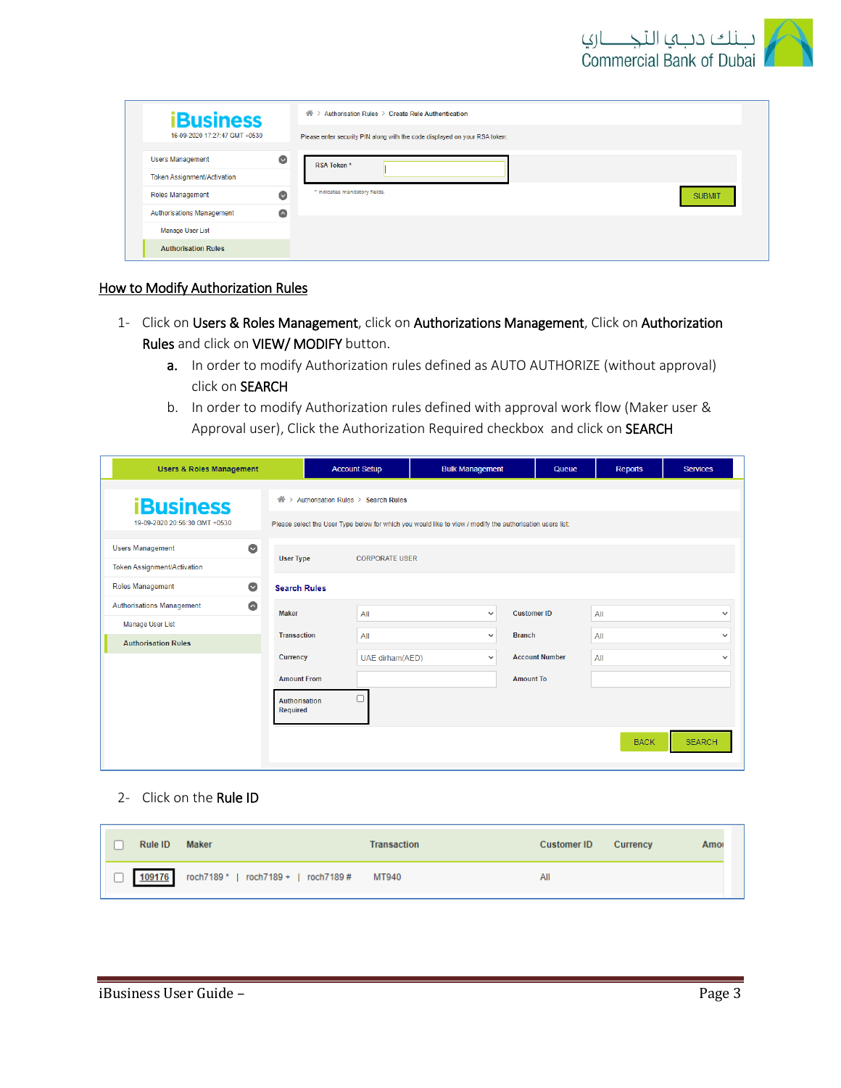

| <b>iBusiness</b>                   |           | Authorisation Rules > Create Rule Authentication<br>合)                     |               |
|------------------------------------|-----------|----------------------------------------------------------------------------|---------------|
| 16-09-2020 17:27:47 GMT +0530      |           | Please enter security PIN along with the code displayed on your RSA token: |               |
| <b>Users Management</b>            | $\bullet$ | RSA Token*                                                                 |               |
| <b>Token Assignment/Activation</b> |           |                                                                            |               |
| <b>Roles Management</b>            | $\bullet$ | * indicates mandatory fields.                                              | <b>SUBMIT</b> |
| <b>Authorisations Management</b>   | $\bullet$ |                                                                            |               |
| <b>Manage User List</b>            |           |                                                                            |               |
| <b>Authorisation Rules</b>         |           |                                                                            |               |

## How to Modify Authorization Rules

- 1- Click on Users & Roles Management, click on Authorizations Management, Click on Authorization Rules and click on VIEW/ MODIFY button.
	- a. In order to modify Authorization rules defined as AUTO AUTHORIZE (without approval) click on SEARCH
	- b. In order to modify Authorization rules defined with approval work flow (Maker user & Approval user), Click the Authorization Required checkbox and click on SEARCH

| <b>Users &amp; Roles Management</b>           |                                         | <b>Account Setup</b>               | <b>Bulk Management</b>                                                                                    |                               | Queue                 | <b>Reports</b> | <b>Services</b> |
|-----------------------------------------------|-----------------------------------------|------------------------------------|-----------------------------------------------------------------------------------------------------------|-------------------------------|-----------------------|----------------|-----------------|
| <b>iBusiness</b>                              | 一个<br>$\rightarrow$                     | Authorisation Rules > Search Rules |                                                                                                           |                               |                       |                |                 |
| 19-09-2020 20:56:30 GMT +0530                 |                                         |                                    | Please select the User Type below for which you would like to view / modify the authorisation users list: |                               |                       |                |                 |
| $\bullet$<br><b>Users Management</b>          | <b>User Type</b>                        | <b>CORPORATE USER</b>              |                                                                                                           |                               |                       |                |                 |
| <b>Token Assignment/Activation</b>            |                                         |                                    |                                                                                                           |                               |                       |                |                 |
| $\bullet$<br><b>Roles Management</b>          | <b>Search Rules</b>                     |                                    |                                                                                                           |                               |                       |                |                 |
| $\bullet$<br><b>Authorisations Management</b> | <b>Maker</b>                            | All                                |                                                                                                           | $\checkmark$                  | <b>Customer ID</b>    | All            | $\checkmark$    |
| Manage User List                              | <b>Transaction</b>                      | All                                |                                                                                                           | <b>Branch</b><br>$\checkmark$ |                       | All            | $\checkmark$    |
| <b>Authorisation Rules</b>                    | <b>Currency</b>                         | UAE dirham(AED)                    |                                                                                                           | $\checkmark$                  | <b>Account Number</b> | All            | $\checkmark$    |
|                                               | <b>Amount From</b>                      |                                    |                                                                                                           | <b>Amount To</b>              |                       |                |                 |
|                                               | <b>Authorisation</b><br><b>Required</b> |                                    |                                                                                                           |                               |                       |                |                 |
|                                               |                                         |                                    |                                                                                                           |                               |                       | <b>BACK</b>    | <b>SEARCH</b>   |

2- Click on the Rule ID

| Rule ID | <b>Maker</b>                               | <b>Transaction</b> | <b>Customer ID</b> | Currency | Amor |
|---------|--------------------------------------------|--------------------|--------------------|----------|------|
| 109176  | roch7189 *   roch7189 +   roch7189 # MT940 |                    | All                |          |      |